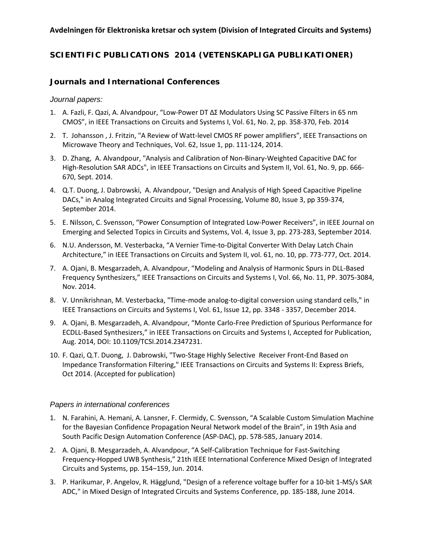#### **Avdelningen för Elektroniska kretsar och system (Division of Integrated Circuits and Systems)**

# **SCIENTIFIC PUBLICATIONS 2014 (VETENSKAPLIGA PUBLIKATIONER)**

## *Journals and International Conferences*

#### *Journal papers:*

- 1. A. Fazli, F. Qazi, A. Alvandpour, "Low-Power DT ΔΣ Modulators Using SC Passive Filters in 65 nm CMOS", in IEEE Transactions on Circuits and Systems I, Vol. 61, No. 2, pp. 358-370, Feb. 2014
- 2. T. Johansson , J. Fritzin, "A Review of Watt-level CMOS RF power amplifiers", IEEE Transactions on Microwave Theory and Techniques, Vol. 62, Issue 1, pp. 111-124, 2014.
- 3. D. Zhang, A. Alvandpour, "Analysis and Calibration of Non-Binary-Weighted Capacitive DAC for High-Resolution SAR ADCs", in IEEE Transactions on Circuits and System II, Vol. 61, No. 9, pp. 666- 670, Sept. 2014.
- 4. Q.T. Duong, J. Dabrowski, A. Alvandpour, "Design and Analysis of High Speed Capacitive Pipeline DACs," in Analog Integrated Circuits and Signal Processing, Volume 80, Issue 3, pp 359-374, September 2014.
- 5. E. Nilsson, C. Svensson, "Power Consumption of Integrated Low-Power Receivers", in IEEE Journal on Emerging and Selected Topics in Circuits and Systems, Vol. 4, Issue 3, pp. 273-283, September 2014.
- 6. N.U. Andersson, M. Vesterbacka, "A Vernier Time-to-Digital Converter With Delay Latch Chain Architecture," in IEEE Transactions on Circuits and System II, vol. 61, no. 10, pp. 773-777, Oct. 2014.
- 7. A. Ojani, B. Mesgarzadeh, A. Alvandpour, "Modeling and Analysis of Harmonic Spurs in DLL-Based Frequency Synthesizers," IEEE Transactions on Circuits and Systems I, Vol. 66, No. 11, PP. 3075-3084, Nov. 2014.
- 8. V. Unnikrishnan, M. Vesterbacka, "Time-mode analog-to-digital conversion using standard cells," in IEEE Transactions on Circuits and Systems I, Vol. 61, Issue 12, pp. 3348 - 3357, December 2014.
- 9. A. Ojani, B. Mesgarzadeh, A. Alvandpour, "Monte Carlo-Free Prediction of Spurious Performance for ECDLL-Based Synthesizers," in IEEE Transactions on Circuits and Systems I, Accepted for Publication, Aug. 2014, DOI: 10.1109/TCSI.2014.2347231.
- 10. F. Qazi, Q.T. Duong, J. Dabrowski, "Two-Stage Highly Selective Receiver Front-End Based on Impedance Transformation Filtering," IEEE Transactions on Circuits and Systems II: Express Briefs, Oct 2014. (Accepted for publication)

#### *Papers in international conferences*

- 1. N. Farahini, A. Hemani, A. Lansner, F. Clermidy, C. Svensson, "A Scalable Custom Simulation Machine for the Bayesian Confidence Propagation Neural Network model of the Brain", in 19th Asia and South Pacific Design Automation Conference (ASP-DAC), pp. 578-585, January 2014.
- 2. A. Ojani, B. Mesgarzadeh, A. Alvandpour, "A Self-Calibration Technique for Fast-Switching Frequency-Hopped UWB Synthesis," 21th IEEE International Conference Mixed Design of Integrated Circuits and Systems, pp. 154-159, Jun. 2014.
- 3. P. Harikumar, P. Angelov, R. Hägglund, "Design of a reference voltage buffer for a 10-bit 1-MS/s SAR ADC," in Mixed Design of Integrated Circuits and Systems Conference, pp. 185-188, June 2014.